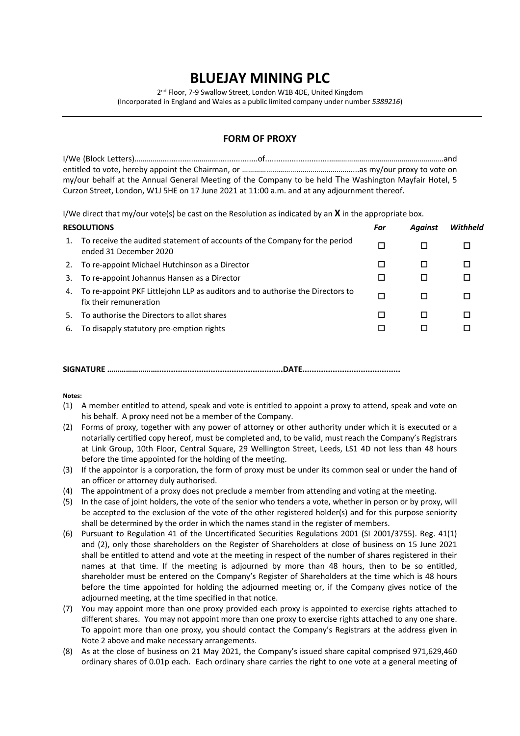## **BLUEJAY MINING PLC**

2<sup>nd</sup> Floor, 7-9 Swallow Street, London W1B 4DE, United Kingdom (Incorporated in England and Wales as a public limited company under number *5389216*)

## **FORM OF PROXY**

| my/our behalf at the Annual General Meeting of the Company to be held The Washington Mayfair Hotel, 5 |  |
|-------------------------------------------------------------------------------------------------------|--|
| Curzon Street, London, W1J 5HE on 17 June 2021 at 11:00 a.m. and at any adjournment thereof.          |  |

I/We direct that my/our vote(s) be cast on the Resolution as indicated by an **X** in the appropriate box.

| <b>RESOLUTIONS</b> |                                                                                                          | For | <b>Against</b> | Withheld |
|--------------------|----------------------------------------------------------------------------------------------------------|-----|----------------|----------|
| 1.                 | To receive the audited statement of accounts of the Company for the period<br>ended 31 December 2020     | □   |                | П        |
| 2.                 | To re-appoint Michael Hutchinson as a Director                                                           | П   |                | П        |
| 3.                 | To re-appoint Johannus Hansen as a Director                                                              | □   | ப              | □        |
| 4.                 | To re-appoint PKF Littlejohn LLP as auditors and to authorise the Directors to<br>fix their remuneration | □   |                | П        |
| 5.                 | To authorise the Directors to allot shares                                                               | П   |                | П        |
| 6.                 | To disapply statutory pre-emption rights                                                                 | □   |                |          |
|                    |                                                                                                          |     |                |          |

**SIGNATURE ……………………......................................................DATE..........................................**

**Notes:**

- (1) A member entitled to attend, speak and vote is entitled to appoint a proxy to attend, speak and vote on his behalf. A proxy need not be a member of the Company.
- (2) Forms of proxy, together with any power of attorney or other authority under which it is executed or a notarially certified copy hereof, must be completed and, to be valid, must reach the Company's Registrars at Link Group, 10th Floor, Central Square, 29 Wellington Street, Leeds, LS1 4D not less than 48 hours before the time appointed for the holding of the meeting.
- (3) If the appointor is a corporation, the form of proxy must be under its common seal or under the hand of an officer or attorney duly authorised.
- (4) The appointment of a proxy does not preclude a member from attending and voting at the meeting.
- (5) In the case of joint holders, the vote of the senior who tenders a vote, whether in person or by proxy, will be accepted to the exclusion of the vote of the other registered holder(s) and for this purpose seniority shall be determined by the order in which the names stand in the register of members.
- (6) Pursuant to Regulation 41 of the Uncertificated Securities Regulations 2001 (SI 2001/3755). Reg. 41(1) and (2), only those shareholders on the Register of Shareholders at close of business on 15 June 2021 shall be entitled to attend and vote at the meeting in respect of the number of shares registered in their names at that time. If the meeting is adjourned by more than 48 hours, then to be so entitled, shareholder must be entered on the Company's Register of Shareholders at the time which is 48 hours before the time appointed for holding the adjourned meeting or, if the Company gives notice of the adjourned meeting, at the time specified in that notice.
- (7) You may appoint more than one proxy provided each proxy is appointed to exercise rights attached to different shares. You may not appoint more than one proxy to exercise rights attached to any one share. To appoint more than one proxy, you should contact the Company's Registrars at the address given in Note 2 above and make necessary arrangements.
- (8) As at the close of business on 21 May 2021, the Company's issued share capital comprised 971,629,460 ordinary shares of 0.01p each. Each ordinary share carries the right to one vote at a general meeting of